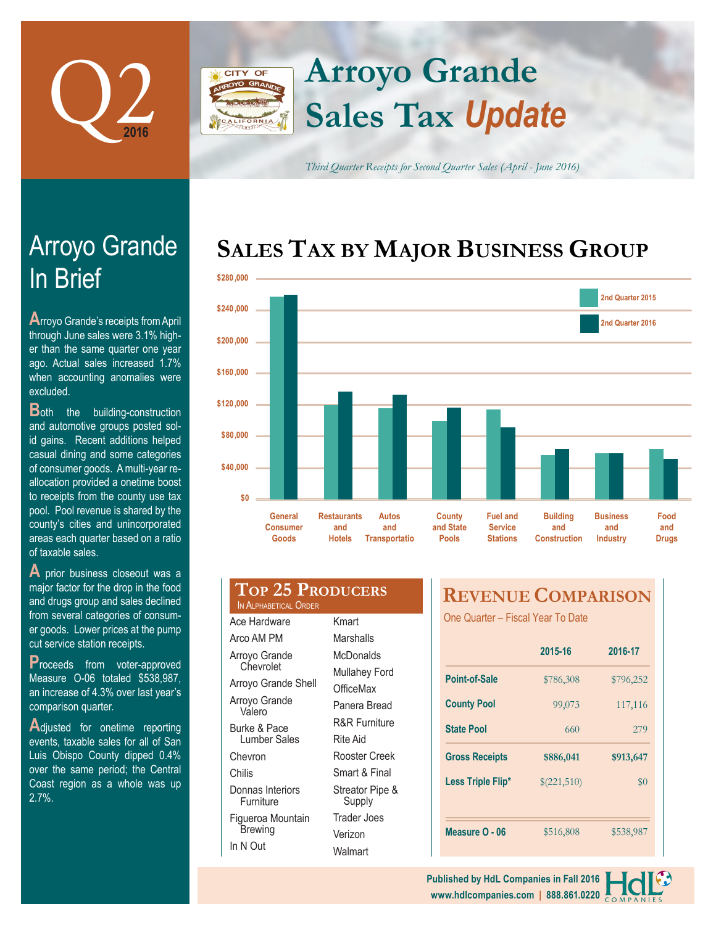

# **Arroyo Grande CITY OF Sales Tax** *Update*

*Third Quarter Receipts for Second Quarter Sales (April - June 2016)*

# **SALES TAX BY MAJOR BUSINESS GROUP**



| pool. Pool revenue is shared by the                   |  |
|-------------------------------------------------------|--|
| county's cities and unincorporated                    |  |
| areas each quarter based on a ratio                   |  |
| of taxable sales.                                     |  |
| $\overline{\mathbf{A}}$ prior business closeout was a |  |
| major factor for the drop in the food                 |  |
| and drugs group and sales declined                    |  |
|                                                       |  |

from several categories of consumer goods. Lower prices at the pump cut service station receipts.

**P**roceeds from voter-approved Measure O-06 totaled \$538,987, an increase of 4.3% over last year's comparison quarter.

**A**djusted for onetime reporting events, taxable sales for all of San Luis Obispo County dipped 0.4% over the same period; the Central Coast region as a whole was up 2.7%.

| <b>TOP 25 PRODUCERS</b><br>IN ALPHABETICAL ORDER |                                                       |  |  |
|--------------------------------------------------|-------------------------------------------------------|--|--|
| Ace Hardware                                     | Kmart                                                 |  |  |
| Arco AM PM                                       | Marshalls                                             |  |  |
| Arroyo Grande                                    | McDonalds                                             |  |  |
| Chevrolet                                        | <b>Mullahey Ford</b>                                  |  |  |
| Arroyo Grande Shell                              | OfficeMax<br>Panera Bread<br><b>R&amp;R Furniture</b> |  |  |
| Arroyo Grande<br>Valero                          |                                                       |  |  |
| Burke & Pace                                     |                                                       |  |  |
| <b>Lumber Sales</b>                              | Rite Aid                                              |  |  |
| Chevron                                          | Rooster Creek                                         |  |  |
| Chilis                                           | Smart & Final                                         |  |  |
| Donnas Interiors<br>Furniture                    | Streator Pipe &<br>Supply                             |  |  |
| Figueroa Mountain                                | Trader Joes                                           |  |  |
| <b>Brewing</b>                                   | Verizon                                               |  |  |
| In N Out                                         | Molm                                                  |  |  |

**Walmart** 

# **REVENUE COMPARISON**

One Quarter – Fiscal Year To Date

|                       | 2015-16     | 2016-17   |
|-----------------------|-------------|-----------|
| Point-of-Sale         | \$786,308   | \$796,252 |
| <b>County Pool</b>    | 99,073      | 117,116   |
| <b>State Pool</b>     | 660         | 279       |
|                       |             |           |
| <b>Gross Receipts</b> | \$886,041   | \$913,647 |
| Less Triple Flip*     | \$(221,510) | $\$0$     |
|                       |             |           |

#### **www.hdlcompanies.com | 888.861.0220 Published by HdL Companies in Fall 2016**

# In Brief Arroyo Grande

**A**rroyo Grande's receipts from April through June sales were 3.1% higher than the same quarter one year ago. Actual sales increased 1.7% when accounting anomalies were excluded.

**B**oth the building-construction and automotive groups posted solid gains. Recent additions helped casual dining and some categories of consumer goods. A multi-year reallocation provided a onetime boost to receipts from the county use tax pool. Pool revenue is shared by the county's cities and unincorporated areas each quarter based on a ratio of taxable sales.